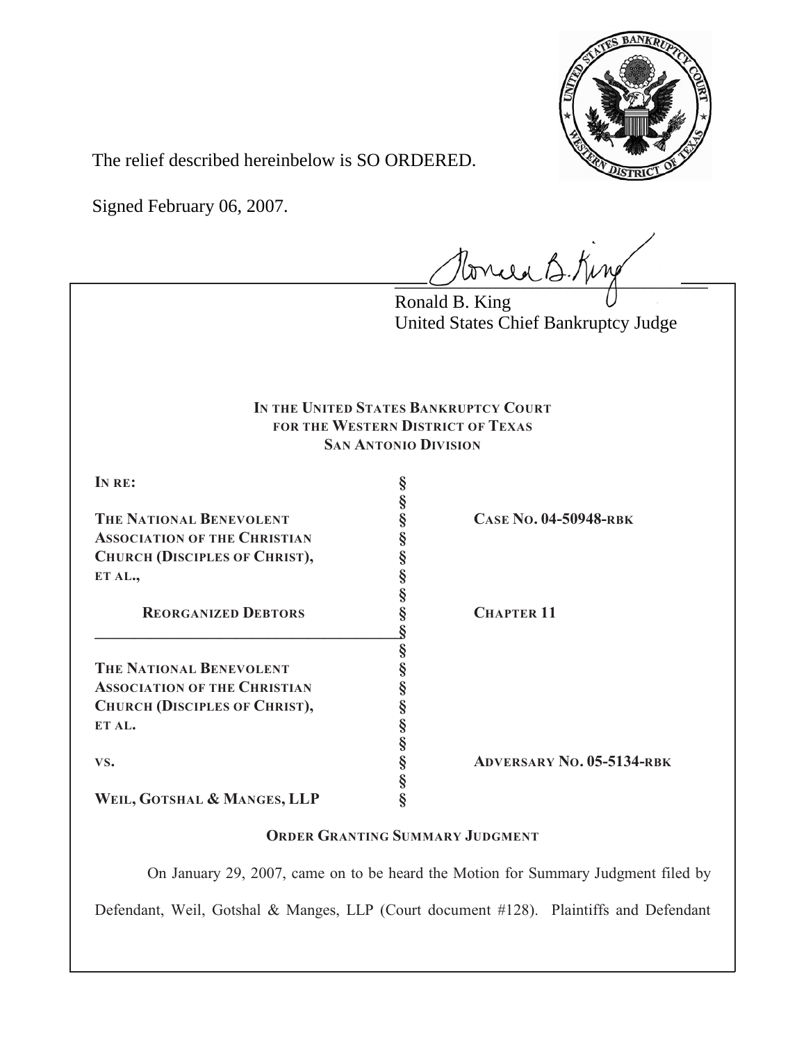

The relief described hereinbelow is SO ORDERED.

Signed February 06, 2007.

Tonie B. King

Ronald B. King United States Chief Bankruptcy Judge

# **IN THE UNITED STATES BANKRUPTCY COURT FOR THE WESTERN DISTRICT OF TEXAS SAN ANTONIO DIVISION**

| IN RE:                              |                                  |
|-------------------------------------|----------------------------------|
|                                     |                                  |
| THE NATIONAL BENEVOLENT             | <b>CASE No. 04-50948-RBK</b>     |
| <b>ASSOCIATION OF THE CHRISTIAN</b> |                                  |
| CHURCH (DISCIPLES OF CHRIST),       |                                  |
| ET AL.,                             |                                  |
|                                     |                                  |
| <b>REORGANIZED DEBTORS</b>          | <b>CHAPTER 11</b>                |
|                                     |                                  |
|                                     |                                  |
| <b>THE NATIONAL BENEVOLENT</b>      |                                  |
| <b>ASSOCIATION OF THE CHRISTIAN</b> |                                  |
| CHURCH (DISCIPLES OF CHRIST),       |                                  |
| ET AL.                              |                                  |
|                                     |                                  |
| VS.                                 | <b>ADVERSARY NO. 05-5134-RBK</b> |
|                                     |                                  |
| WEIL, GOTSHAL & MANGES, LLP         |                                  |

# **ORDER GRANTING SUMMARY JUDGMENT**

 On January 29, 2007, came on to be heard the Motion for Summary Judgment filed by Defendant, Weil, Gotshal & Manges, LLP (Court document #128). Plaintiffs and Defendant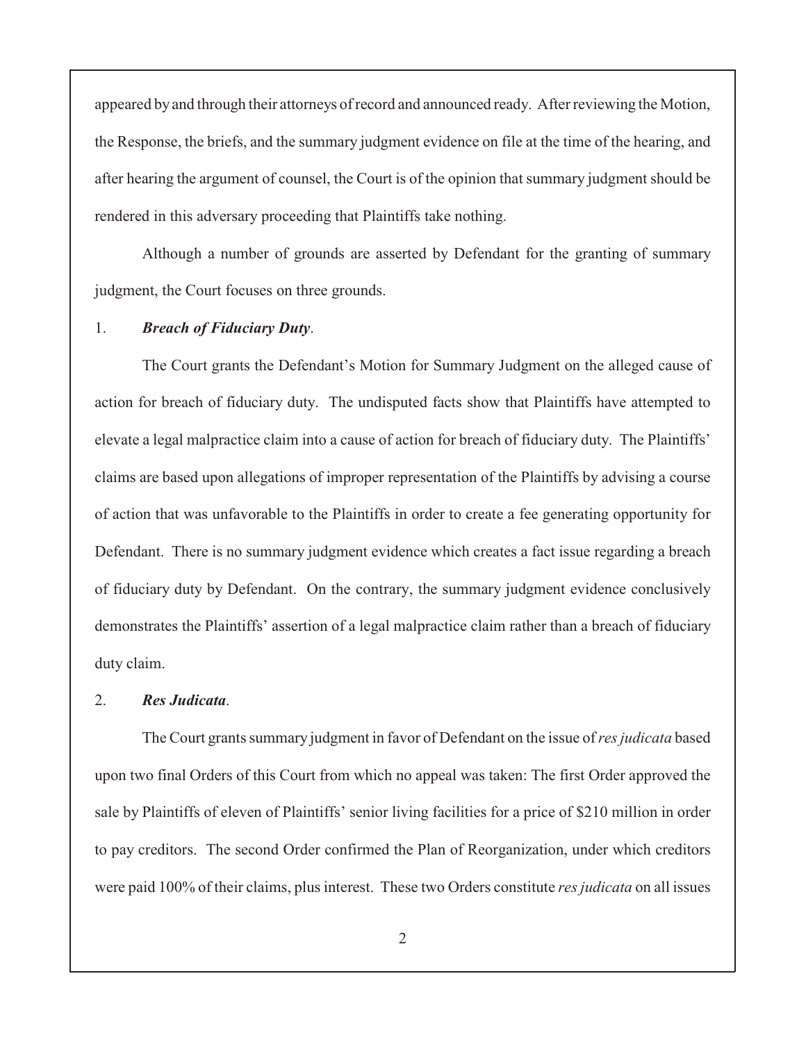appeared by and through their attorneys of record and announced ready. After reviewing the Motion, the Response, the briefs, and the summary judgment evidence on file at the time of the hearing, and after hearing the argument of counsel, the Court is of the opinion that summary judgment should be rendered in this adversary proceeding that Plaintiffs take nothing.

Although a number of grounds are asserted by Defendant for the granting of summary judgment, the Court focuses on three grounds.

## 1. *Breach of Fiduciary Duty*.

The Court grants the Defendant's Motion for Summary Judgment on the alleged cause of action for breach of fiduciary duty. The undisputed facts show that Plaintiffs have attempted to elevate a legal malpractice claim into a cause of action for breach of fiduciary duty. The Plaintiffs' claims are based upon allegations of improper representation of the Plaintiffs by advising a course of action that was unfavorable to the Plaintiffs in order to create a fee generating opportunity for Defendant. There is no summary judgment evidence which creates a fact issue regarding a breach of fiduciary duty by Defendant. On the contrary, the summary judgment evidence conclusively demonstrates the Plaintiffs' assertion of a legal malpractice claim rather than a breach of fiduciary duty claim.

#### 2. *Res Judicata*.

The Court grants summary judgment in favor of Defendant on the issue of *res judicata* based upon two final Orders of this Court from which no appeal was taken: The first Order approved the sale by Plaintiffs of eleven of Plaintiffs' senior living facilities for a price of \$210 million in order to pay creditors. The second Order confirmed the Plan of Reorganization, under which creditors were paid 100% of their claims, plus interest. These two Orders constitute *res judicata* on all issues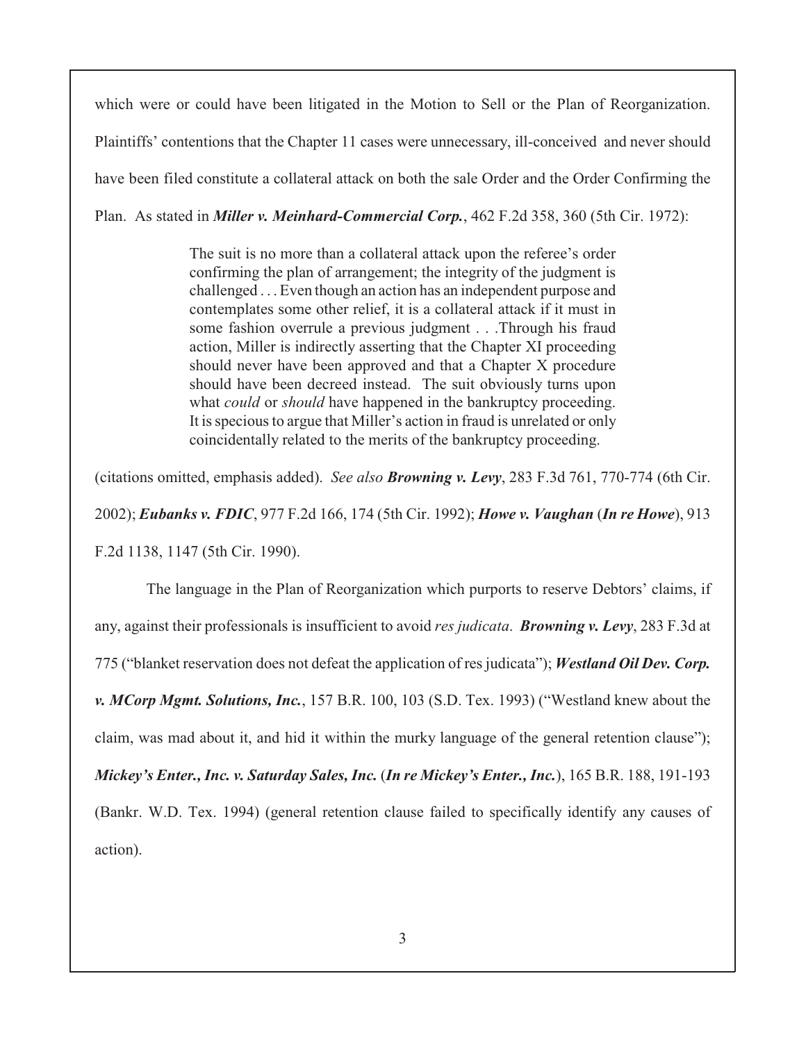which were or could have been litigated in the Motion to Sell or the Plan of Reorganization. Plaintiffs' contentions that the Chapter 11 cases were unnecessary, ill-conceived and never should have been filed constitute a collateral attack on both the sale Order and the Order Confirming the Plan. As stated in *Miller v. Meinhard-Commercial Corp.*, 462 F.2d 358, 360 (5th Cir. 1972):

> The suit is no more than a collateral attack upon the referee's order confirming the plan of arrangement; the integrity of the judgment is challenged . . . Even though an action has an independent purpose and contemplates some other relief, it is a collateral attack if it must in some fashion overrule a previous judgment . . .Through his fraud action, Miller is indirectly asserting that the Chapter XI proceeding should never have been approved and that a Chapter X procedure should have been decreed instead. The suit obviously turns upon what *could* or *should* have happened in the bankruptcy proceeding. It is specious to argue that Miller's action in fraud is unrelated or only coincidentally related to the merits of the bankruptcy proceeding.

(citations omitted, emphasis added). *See also Browning v. Levy*, 283 F.3d 761, 770-774 (6th Cir.

2002); *Eubanks v. FDIC*, 977 F.2d 166, 174 (5th Cir. 1992); *Howe v. Vaughan* (*In re Howe*), 913

F.2d 1138, 1147 (5th Cir. 1990).

 The language in the Plan of Reorganization which purports to reserve Debtors' claims, if any, against their professionals is insufficient to avoid *res judicata*. *Browning v. Levy*, 283 F.3d at 775 ("blanket reservation does not defeat the application of res judicata"); *Westland Oil Dev. Corp. v. MCorp Mgmt. Solutions, Inc.*, 157 B.R. 100, 103 (S.D. Tex. 1993) ("Westland knew about the claim, was mad about it, and hid it within the murky language of the general retention clause"); *Mickey's Enter., Inc. v. Saturday Sales, Inc.* (*In re Mickey's Enter., Inc.*), 165 B.R. 188, 191-193 (Bankr. W.D. Tex. 1994) (general retention clause failed to specifically identify any causes of action).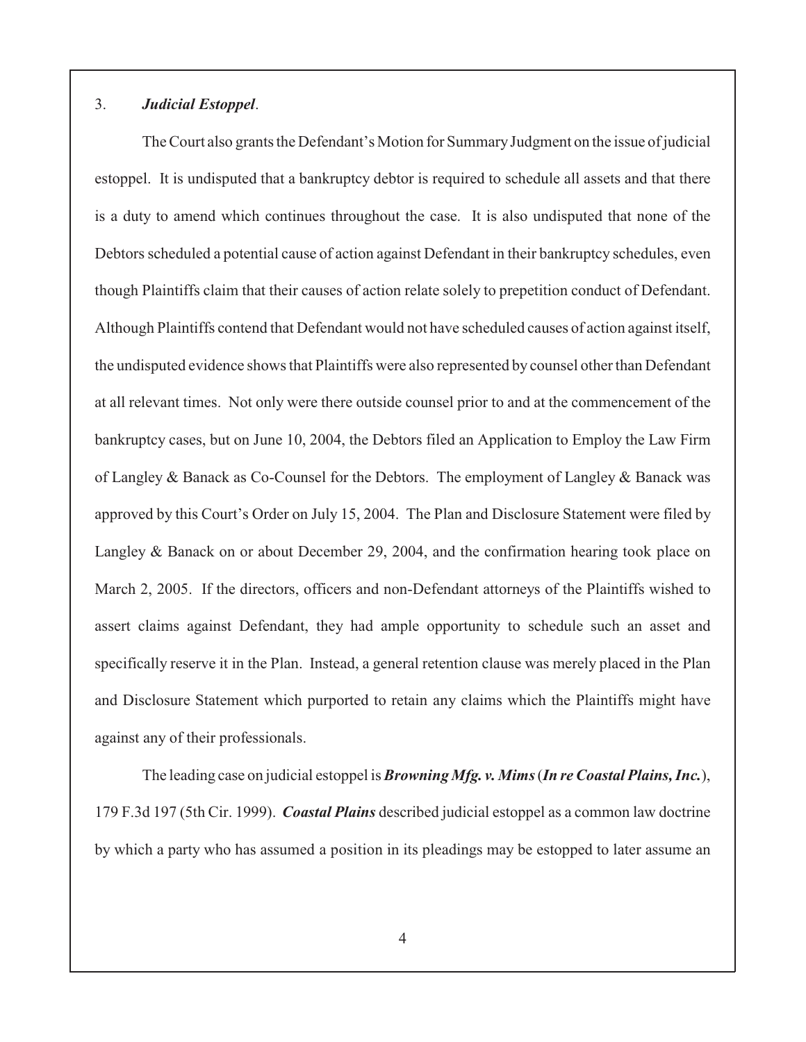# 3. *Judicial Estoppel*.

The Court also grants the Defendant's Motion for Summary Judgment on the issue of judicial estoppel. It is undisputed that a bankruptcy debtor is required to schedule all assets and that there is a duty to amend which continues throughout the case. It is also undisputed that none of the Debtors scheduled a potential cause of action against Defendant in their bankruptcy schedules, even though Plaintiffs claim that their causes of action relate solely to prepetition conduct of Defendant. Although Plaintiffs contend that Defendant would not have scheduled causes of action against itself, the undisputed evidence shows that Plaintiffs were also represented by counsel other than Defendant at all relevant times. Not only were there outside counsel prior to and at the commencement of the bankruptcy cases, but on June 10, 2004, the Debtors filed an Application to Employ the Law Firm of Langley & Banack as Co-Counsel for the Debtors. The employment of Langley & Banack was approved by this Court's Order on July 15, 2004. The Plan and Disclosure Statement were filed by Langley & Banack on or about December 29, 2004, and the confirmation hearing took place on March 2, 2005. If the directors, officers and non-Defendant attorneys of the Plaintiffs wished to assert claims against Defendant, they had ample opportunity to schedule such an asset and specifically reserve it in the Plan. Instead, a general retention clause was merely placed in the Plan and Disclosure Statement which purported to retain any claims which the Plaintiffs might have against any of their professionals.

The leading case on judicial estoppel is*Browning Mfg. v. Mims* (*In re Coastal Plains, Inc.*), 179 F.3d 197 (5th Cir. 1999). *Coastal Plains* described judicial estoppel as a common law doctrine by which a party who has assumed a position in its pleadings may be estopped to later assume an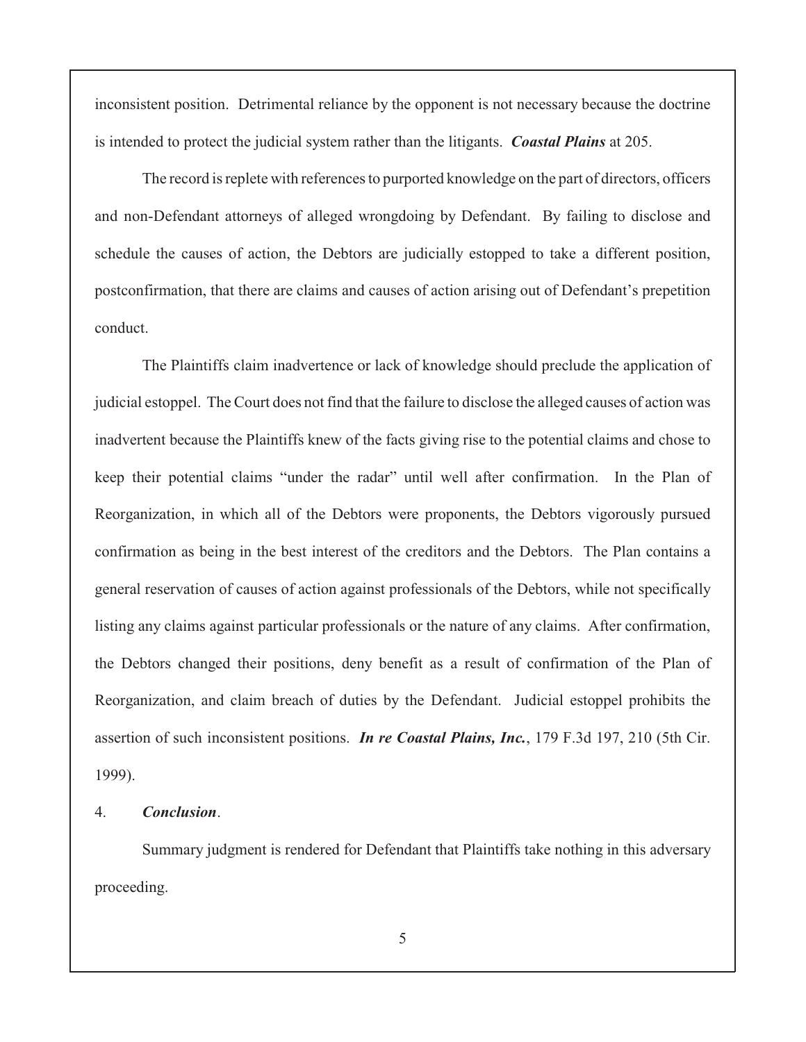inconsistent position. Detrimental reliance by the opponent is not necessary because the doctrine is intended to protect the judicial system rather than the litigants. *Coastal Plains* at 205.

The record is replete with references to purported knowledge on the part of directors, officers and non-Defendant attorneys of alleged wrongdoing by Defendant. By failing to disclose and schedule the causes of action, the Debtors are judicially estopped to take a different position, postconfirmation, that there are claims and causes of action arising out of Defendant's prepetition conduct.

The Plaintiffs claim inadvertence or lack of knowledge should preclude the application of judicial estoppel. The Court does not find that the failure to disclose the alleged causes of action was inadvertent because the Plaintiffs knew of the facts giving rise to the potential claims and chose to keep their potential claims "under the radar" until well after confirmation. In the Plan of Reorganization, in which all of the Debtors were proponents, the Debtors vigorously pursued confirmation as being in the best interest of the creditors and the Debtors. The Plan contains a general reservation of causes of action against professionals of the Debtors, while not specifically listing any claims against particular professionals or the nature of any claims. After confirmation, the Debtors changed their positions, deny benefit as a result of confirmation of the Plan of Reorganization, and claim breach of duties by the Defendant. Judicial estoppel prohibits the assertion of such inconsistent positions. *In re Coastal Plains, Inc.*, 179 F.3d 197, 210 (5th Cir. 1999).

## 4. *Conclusion*.

Summary judgment is rendered for Defendant that Plaintiffs take nothing in this adversary proceeding.